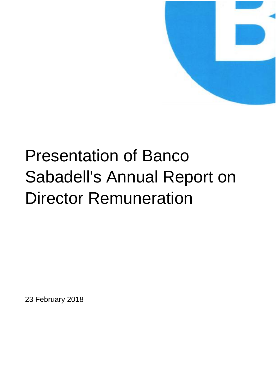

# Presentation of Banco Sabadell's Annual Report on Director Remuneration

23 February 2018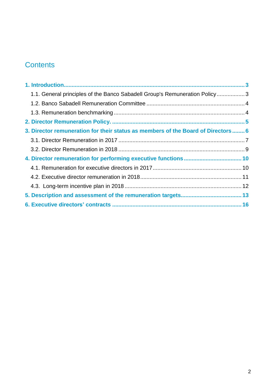# **Contents**

| 1.1. General principles of the Banco Sabadell Group's Remuneration Policy3       |  |
|----------------------------------------------------------------------------------|--|
|                                                                                  |  |
|                                                                                  |  |
|                                                                                  |  |
| 3. Director remuneration for their status as members of the Board of Directors 6 |  |
|                                                                                  |  |
|                                                                                  |  |
|                                                                                  |  |
|                                                                                  |  |
|                                                                                  |  |
|                                                                                  |  |
|                                                                                  |  |
|                                                                                  |  |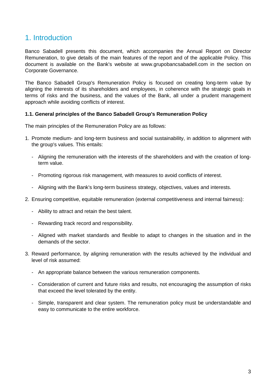# 1. Introduction

Banco Sabadell presents this document, which accompanies the Annual Report on Director Remuneration, to give details of the main features of the report and of the applicable Policy. This document is available on the Bank's website at www.grupobancsabadell.com in the section on Corporate Governance.

The Banco Sabadell Group's Remuneration Policy is focused on creating long-term value by aligning the interests of its shareholders and employees, in coherence with the strategic goals in terms of risks and the business, and the values of the Bank, all under a prudent management approach while avoiding conflicts of interest.

## **1.1. General principles of the Banco Sabadell Group's Remuneration Policy**

The main principles of the Remuneration Policy are as follows:

- 1. Promote medium- and long-term business and social sustainability, in addition to alignment with the group's values. This entails:
	- Aligning the remuneration with the interests of the shareholders and with the creation of longterm value.
	- Promoting rigorous risk management, with measures to avoid conflicts of interest.
	- Aligning with the Bank's long-term business strategy, objectives, values and interests.
- 2. Ensuring competitive, equitable remuneration (external competitiveness and internal fairness):
	- Ability to attract and retain the best talent.
	- Rewarding track record and responsibility.
	- Aligned with market standards and flexible to adapt to changes in the situation and in the demands of the sector.
- 3. Reward performance, by aligning remuneration with the results achieved by the individual and level of risk assumed:
	- An appropriate balance between the various remuneration components.
	- Consideration of current and future risks and results, not encouraging the assumption of risks that exceed the level tolerated by the entity.
	- Simple, transparent and clear system. The remuneration policy must be understandable and easy to communicate to the entire workforce.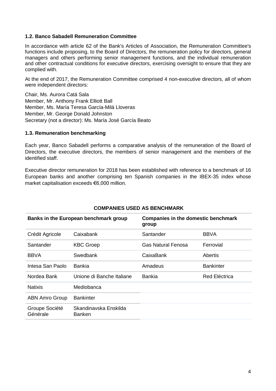## **1.2. Banco Sabadell Remuneration Committee**

In accordance with article 62 of the Bank's Articles of Association, the Remuneration Committee's functions include proposing, to the Board of Directors, the remuneration policy for directors, general managers and others performing senior management functions, and the individual remuneration and other contractual conditions for executive directors, exercising oversight to ensure that they are complied with.

At the end of 2017, the Remuneration Committee comprised 4 non-executive directors, all of whom were independent directors:

Chair, Ms. Aurora Catá Sala Member, Mr. Anthony Frank Elliott Ball Member, Ms. María Teresa García-Milá Lloveras Member, Mr. George Donald Johnston Secretary (not a director): Ms. María José García Beato

## **1.3. Remuneration benchmarking**

Each year, Banco Sabadell performs a comparative analysis of the remuneration of the Board of Directors, the executive directors, the members of senior management and the members of the identified staff.

Executive director remuneration for 2018 has been established with reference to a benchmark of 16 European banks and another comprising ten Spanish companies in the IBEX-35 index whose market capitalisation exceeds €6,000 million.

|                            | Banks in the European benchmark group  | <b>Companies in the domestic benchmark</b><br>group |                      |
|----------------------------|----------------------------------------|-----------------------------------------------------|----------------------|
| Crédit Agricole            | Caixabank                              | Santander                                           | <b>BBVA</b>          |
| Santander                  | <b>KBC Groep</b>                       | Gas Natural Fenosa                                  | Ferrovial            |
| <b>BBVA</b>                | Swedbank                               | CaixaBank                                           | Abertis              |
| Intesa San Paolo           | <b>Bankia</b>                          | Amadeus                                             | <b>Bankinter</b>     |
| Nordea Bank                | Unione di Banche Italiane              | <b>Bankia</b>                                       | <b>Red Eléctrica</b> |
| <b>Natixis</b>             | Mediobanca                             |                                                     |                      |
| <b>ABN Amro Group</b>      | <b>Bankinter</b>                       |                                                     |                      |
| Groupe Société<br>Générale | Skandinavska Enskilda<br><b>Banken</b> |                                                     |                      |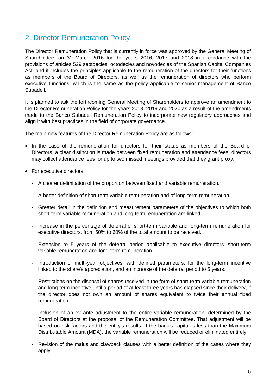# 2. Director Remuneration Policy

The Director Remuneration Policy that is currently in force was approved by the General Meeting of Shareholders on 31 March 2016 for the years 2016, 2017 and 2018 in accordance with the provisions of articles 529 septdecies, octodecies and novodecies of the Spanish Capital Companies Act, and it includes the principles applicable to the remuneration of the directors for their functions as members of the Board of Directors, as well as the remuneration of directors who perform executive functions, which is the same as the policy applicable to senior management of Banco Sabadell.

It is planned to ask the forthcoming General Meeting of Shareholders to approve an amendment to the Director Remuneration Policy for the years 2018, 2019 and 2020 as a result of the amendments made to the Banco Sabadell Remuneration Policy to incorporate new regulatory approaches and align it with best practices in the field of corporate governance.

The main new features of the Director Remuneration Policy are as follows:

- In the case of the remuneration for directors for their status as members of the Board of Directors, a clear distinction is made between fixed remuneration and attendance fees; directors may collect attendance fees for up to two missed meetings provided that they grant proxy.
- For executive directors:
	- A clearer delimitation of the proportion between fixed and variable remuneration.
	- A better definition of short-term variable remuneration and of long-term remuneration.
	- Greater detail in the definition and measurement parameters of the objectives to which both short-term variable remuneration and long-term remuneration are linked.
	- Increase in the percentage of deferral of short-term variable and long-term remuneration for executive directors, from 50% to 60% of the total amount to be received.
	- Extension to 5 years of the deferral period applicable to executive directors' short-term variable remuneration and long-term remuneration.
	- Introduction of multi-year objectives, with defined parameters, for the long-term incentive linked to the share's appreciation, and an increase of the deferral period to 5 years.
	- Restrictions on the disposal of shares received in the form of short-term variable remuneration and long-term incentive until a period of at least three years has elapsed since their delivery, if the director does not own an amount of shares equivalent to twice their annual fixed remuneration.
	- Inclusion of an ex ante adjustment to the entire variable remuneration, determined by the Board of Directors at the proposal of the Remuneration Committee. That adjustment will be based on risk factors and the entity's results. If the bank's capital is less than the Maximum Distributable Amount (MDA), the variable remuneration will be reduced or eliminated entirely.
	- Revision of the malus and clawback clauses with a better definition of the cases where they apply.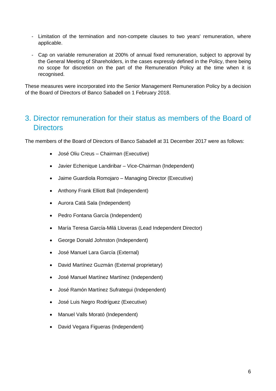- Limitation of the termination and non-compete clauses to two years' remuneration, where applicable.
- Cap on variable remuneration at 200% of annual fixed remuneration, subject to approval by the General Meeting of Shareholders, in the cases expressly defined in the Policy, there being no scope for discretion on the part of the Remuneration Policy at the time when it is recognised.

These measures were incorporated into the Senior Management Remuneration Policy by a decision of the Board of Directors of Banco Sabadell on 1 February 2018.

# 3. Director remuneration for their status as members of the Board of **Directors**

The members of the Board of Directors of Banco Sabadell at 31 December 2017 were as follows:

- José Oliu Creus Chairman (Executive)
- Javier Echenique Landiribar Vice-Chairman (Independent)
- Jaime Guardiola Romojaro Managing Director (Executive)
- Anthony Frank Elliott Ball (Independent)
- Aurora Catá Sala (Independent)
- Pedro Fontana García (Independent)
- María Teresa García-Milá Lloveras (Lead Independent Director)
- George Donald Johnston (Independent)
- José Manuel Lara García (External)
- David Martínez Guzmán (External proprietary)
- José Manuel Martínez Martínez (Independent)
- José Ramón Martínez Sufrategui (Independent)
- José Luis Negro Rodríguez (Executive)
- Manuel Valls Morató (Independent)
- David Vegara Figueras (Independent)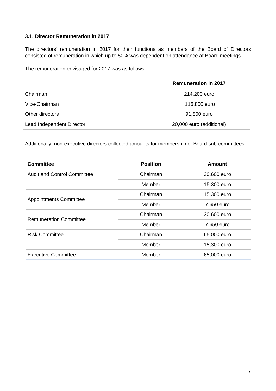# **3.1. Director Remuneration in 2017**

The directors' remuneration in 2017 for their functions as members of the Board of Directors consisted of remuneration in which up to 50% was dependent on attendance at Board meetings.

The remuneration envisaged for 2017 was as follows:

|                           | <b>Remuneration in 2017</b> |
|---------------------------|-----------------------------|
| Chairman                  | 214,200 euro                |
| Vice-Chairman             | 116,800 euro                |
| Other directors           | 91,800 euro                 |
| Lead Independent Director | 20,000 euro (additional)    |

Additionally, non-executive directors collected amounts for membership of Board sub-committees:

| <b>Committee</b>                   | <b>Position</b> | <b>Amount</b> |
|------------------------------------|-----------------|---------------|
| <b>Audit and Control Committee</b> | Chairman        | 30,600 euro   |
|                                    | Member          | 15,300 euro   |
|                                    | Chairman        | 15,300 euro   |
| <b>Appointments Committee</b>      | Member          | 7,650 euro    |
| <b>Remuneration Committee</b>      | Chairman        | 30,600 euro   |
|                                    | Member          | 7,650 euro    |
| <b>Risk Committee</b>              | Chairman        | 65,000 euro   |
|                                    | Member          | 15,300 euro   |
| <b>Executive Committee</b>         | Member          | 65,000 euro   |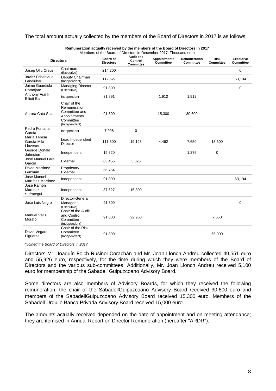#### The total amount actually collected by the members of the Board of Directors in 2017 is as follows:

|                                         | <b>Directors</b>                                                                            | <b>Board of</b><br><b>Directors</b> | <b>Audit and</b><br>Control<br>Committee | <b>Appointments</b><br><b>Committee</b> | <b>Remuneration</b><br><b>Committee</b> | <b>Risk</b><br>Committee | <b>Executive</b><br>Committee |
|-----------------------------------------|---------------------------------------------------------------------------------------------|-------------------------------------|------------------------------------------|-----------------------------------------|-----------------------------------------|--------------------------|-------------------------------|
| Josep Oliu Creus                        | Chairman<br>(Executive)                                                                     | 214,200                             |                                          |                                         |                                         |                          | 0                             |
| Javier Echenique<br>Landiribar          | Deputy Chairman<br>(Independent)                                                            | 112,627                             |                                          |                                         |                                         |                          | 63,194                        |
| Jaime Guardiola<br>Romojaro             | <b>Managing Director</b><br>(Executive)                                                     | 91,800                              |                                          |                                         |                                         |                          | $\mathbf 0$                   |
| Anthony Frank<br>Elliott Ball           | Independent                                                                                 | 31,991                              |                                          | 1,912                                   | 1,912                                   |                          |                               |
| Aurora Catá Sala                        | Chair of the<br>Remuneration<br>Committee and<br>Appointments<br>Committee<br>(Independent) | 91,800                              |                                          | 15,300                                  | 30,600                                  |                          |                               |
| Pedro Fontana<br>García                 | Independent                                                                                 | 7,998                               | 0                                        |                                         |                                         |                          |                               |
| María Teresa<br>García-Milà<br>Lloveras | Lead Independent<br><b>Director</b>                                                         | 111,800                             | 19,125                                   | 4,462                                   | 7,650                                   | 15,300                   |                               |
| George Donald<br>Johnston               | Independent                                                                                 | 19,820                              |                                          |                                         | 1,275                                   | 0                        |                               |
| José Manuel Lara<br>García              | External                                                                                    | 83,455                              | 3,825                                    |                                         |                                         |                          |                               |
| David Martínez<br>Guzmán                | Proprietary<br>External                                                                     | 66,764                              |                                          |                                         |                                         |                          |                               |
| José Manuel<br><b>Martínez Martínez</b> | Independent                                                                                 | 91,800                              |                                          |                                         |                                         |                          | 63,194                        |
| José Ramón<br>Martínez<br>Sufrategui    | Independent                                                                                 | 87,627                              | 15,300                                   |                                         |                                         |                          |                               |
| José Luis Negro                         | Director-General<br>Manager<br>(Executive)                                                  | 91,800                              |                                          |                                         |                                         |                          | 0                             |
| <b>Manuel Valls</b><br>Morató           | Chair of the Audit<br>and Control<br>Committee<br>(Independent)                             | 91,800                              | 22,950                                   |                                         |                                         | 7,650                    |                               |
| David Vegara<br>Figueras                | Chair of the Risk<br>Committee<br>(Independent)                                             | 91,800                              |                                          |                                         |                                         | 65,000                   |                               |

**Remuneration actually received by the members of the Board of Directors in 2017**

*\*Joined the Board of Directors in 2017*

Directors Mr. Joaquín Folch-Rusiñol Corachán and Mr. Joan Llonch Andreu collected 49,551 euro and 55,926 euro, respectively, for the time during which they were members of the Board of Directors and the various sub-committees. Additionally, Mr. Joan Llonch Andreu received 5,100 euro for membership of the Sabadell Guipuzcoano Advisory Board.

Some directors are also members of Advisory Boards, for which they received the following remuneration: the chair of the SabadellGuipuzcoano Advisory Board received 30,600 euro and members of the SabadellGuipuzcoano Advisory Board received 15,300 euro. Members of the Sabadell Urquijo Banca Privada Advisory Board received 15,000 euro.

The amounts actually received depended on the date of appointment and on meeting attendance; they are itemised in Annual Report on Director Remuneration (hereafter "ARDR").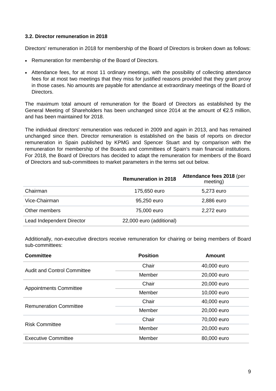## **3.2. Director remuneration in 2018**

Directors' remuneration in 2018 for membership of the Board of Directors is broken down as follows:

- Remuneration for membership of the Board of Directors.
- Attendance fees, for at most 11 ordinary meetings, with the possibility of collecting attendance fees for at most two meetings that they miss for justified reasons provided that they grant proxy in those cases. No amounts are payable for attendance at extraordinary meetings of the Board of Directors.

The maximum total amount of remuneration for the Board of Directors as established by the General Meeting of Shareholders has been unchanged since 2014 at the amount of €2.5 million, and has been maintained for 2018.

The individual directors' remuneration was reduced in 2009 and again in 2013, and has remained unchanged since then. Director remuneration is established on the basis of reports on director remuneration in Spain published by KPMG and Spencer Stuart and by comparison with the remuneration for membership of the Boards and committees of Spain's main financial institutions. For 2018, the Board of Directors has decided to adapt the remuneration for members of the Board of Directors and sub-committees to market parameters in the terms set out below.

|                           | <b>Remuneration in 2018</b> | Attendance fees 2018 (per<br>meeting) |
|---------------------------|-----------------------------|---------------------------------------|
| Chairman                  | 175,650 euro                | 5,273 euro                            |
| Vice-Chairman             | 95,250 euro                 | 2,886 euro                            |
| Other members             | 75,000 euro                 | 2,272 euro                            |
| Lead Independent Director | 22,000 euro (additional)    |                                       |

Additionally, non-executive directors receive remuneration for chairing or being members of Board sub-committees:

| <b>Committee</b>                   | <b>Position</b> | <b>Amount</b> |
|------------------------------------|-----------------|---------------|
| <b>Audit and Control Committee</b> | Chair           | 40,000 euro   |
|                                    | Member          | 20,000 euro   |
| <b>Appointments Committee</b>      | Chair           | 20,000 euro   |
|                                    | Member          | 10,000 euro   |
| <b>Remuneration Committee</b>      | Chair           | 40,000 euro   |
|                                    | Member          | 20,000 euro   |
| <b>Risk Committee</b>              | Chair           | 70,000 euro   |
|                                    | Member          | 20,000 euro   |
| <b>Executive Committee</b>         | Member          | 80,000 euro   |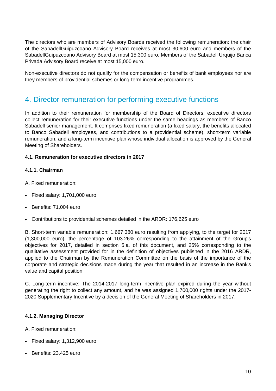The directors who are members of Advisory Boards received the following remuneration: the chair of the SabadellGuipuzcoano Advisory Board receives at most 30,600 euro and members of the SabadellGuipuzcoano Advisory Board at most 15,300 euro. Members of the Sabadell Urquijo Banca Privada Advisory Board receive at most 15,000 euro.

Non-executive directors do not qualify for the compensation or benefits of bank employees nor are they members of providential schemes or long-term incentive programmes.

# 4. Director remuneration for performing executive functions

In addition to their remuneration for membership of the Board of Directors, executive directors collect remuneration for their executive functions under the same headings as members of Banco Sabadell senior management. It comprises fixed remuneration (a fixed salary, the benefits allocated to Banco Sabadell employees, and contributions to a providential scheme), short-term variable remuneration, and a long-term incentive plan whose individual allocation is approved by the General Meeting of Shareholders.

# **4.1. Remuneration for executive directors in 2017**

## **4.1.1. Chairman**

- A. Fixed remuneration:
- Fixed salary: 1,701,000 euro
- Benefits: 71,004 euro
- Contributions to providential schemes detailed in the ARDR: 176,625 euro

B. Short-term variable remuneration: 1,667,380 euro resulting from applying, to the target for 2017 (1,300,000 euro), the percentage of 103.26% corresponding to the attainment of the Group's objectives for 2017, detailed in section 5.a. of this document, and 25% corresponding to the qualitative assessment provided for in the definition of objectives published in the 2016 ARDR, applied to the Chairman by the Remuneration Committee on the basis of the importance of the corporate and strategic decisions made during the year that resulted in an increase in the Bank's value and capital position.

C. Long-term incentive: The 2014-2017 long-term incentive plan expired during the year without generating the right to collect any amount, and he was assigned 1,700,000 rights under the 2017- 2020 Supplementary Incentive by a decision of the General Meeting of Shareholders in 2017.

## **4.1.2. Managing Director**

A. Fixed remuneration:

- Fixed salary: 1,312,900 euro
- Benefits: 23,425 euro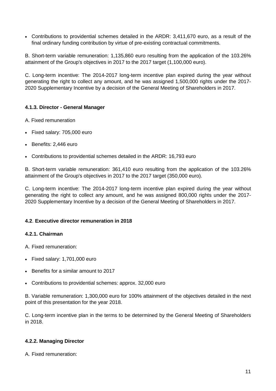Contributions to providential schemes detailed in the ARDR: 3,411,670 euro, as a result of the final ordinary funding contribution by virtue of pre-existing contractual commitments.

B. Short-term variable remuneration: 1,135,860 euro resulting from the application of the 103.26% attainment of the Group's objectives in 2017 to the 2017 target (1,100,000 euro).

C. Long-term incentive: The 2014-2017 long-term incentive plan expired during the year without generating the right to collect any amount, and he was assigned 1,500,000 rights under the 2017- 2020 Supplementary Incentive by a decision of the General Meeting of Shareholders in 2017.

# **4.1.3. Director - General Manager**

- A. Fixed remuneration
- Fixed salary: 705,000 euro
- Benefits: 2,446 euro
- Contributions to providential schemes detailed in the ARDR: 16,793 euro

B. Short-term variable remuneration: 361,410 euro resulting from the application of the 103.26% attainment of the Group's objectives in 2017 to the 2017 target (350,000 euro).

C. Long-term incentive: The 2014-2017 long-term incentive plan expired during the year without generating the right to collect any amount, and he was assigned 800,000 rights under the 2017- 2020 Supplementary Incentive by a decision of the General Meeting of Shareholders in 2017.

# **4.2**. **Executive director remuneration in 2018**

## **4.2.1. Chairman**

A. Fixed remuneration:

- Fixed salary: 1,701,000 euro
- Benefits for a similar amount to 2017
- Contributions to providential schemes: approx. 32,000 euro

B. Variable remuneration: 1,300,000 euro for 100% attainment of the objectives detailed in the next point of this presentation for the year 2018.

C. Long-term incentive plan in the terms to be determined by the General Meeting of Shareholders in 2018.

# **4.2.2. Managing Director**

A. Fixed remuneration: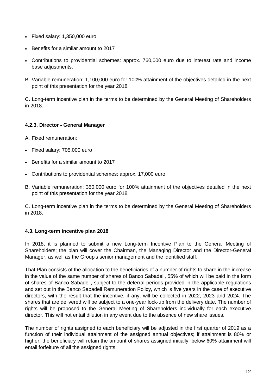- Fixed salary: 1,350,000 euro
- Benefits for a similar amount to 2017
- Contributions to providential schemes: approx. 760,000 euro due to interest rate and income base adjustments.
- B. Variable remuneration: 1,100,000 euro for 100% attainment of the objectives detailed in the next point of this presentation for the year 2018.

C. Long-term incentive plan in the terms to be determined by the General Meeting of Shareholders in 2018.

# **4.2.3. Director - General Manager**

- A. Fixed remuneration:
- Fixed salary: 705,000 euro
- Benefits for a similar amount to 2017
- Contributions to providential schemes: approx. 17,000 euro
- B. Variable remuneration: 350,000 euro for 100% attainment of the objectives detailed in the next point of this presentation for the year 2018.

C. Long-term incentive plan in the terms to be determined by the General Meeting of Shareholders in 2018.

# **4.3. Long-term incentive plan 2018**

In 2018, it is planned to submit a new Long-term Incentive Plan to the General Meeting of Shareholders; the plan will cover the Chairman, the Managing Director and the Director-General Manager, as well as the Group's senior management and the identified staff.

That Plan consists of the allocation to the beneficiaries of a number of rights to share in the increase in the value of the same number of shares of Banco Sabadell, 55% of which will be paid in the form of shares of Banco Sabadell, subject to the deferral periods provided in the applicable regulations and set out in the Banco Sabadell Remuneration Policy, which is five years in the case of executive directors, with the result that the incentive, if any, will be collected in 2022, 2023 and 2024. The shares that are delivered will be subject to a one-year lock-up from the delivery date. The number of rights will be proposed to the General Meeting of Shareholders individually for each executive director. This will not entail dilution in any event due to the absence of new share issues.

The number of rights assigned to each beneficiary will be adjusted in the first quarter of 2019 as a function of their individual attainment of the assigned annual objectives; if attainment is 80% or higher, the beneficiary will retain the amount of shares assigned initially; below 60% attainment will entail forfeiture of all the assigned rights.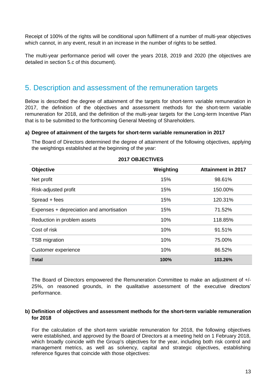Receipt of 100% of the rights will be conditional upon fulfilment of a number of multi-year objectives which cannot, in any event, result in an increase in the number of rights to be settled.

The multi-year performance period will cover the years 2018, 2019 and 2020 (the objectives are detailed in section 5.c of this document).

# 5. Description and assessment of the remuneration targets

Below is described the degree of attainment of the targets for short-term variable remuneration in 2017, the definition of the objectives and assessment methods for the short-term variable remuneration for 2018, and the definition of the multi-year targets for the Long-term Incentive Plan that is to be submitted to the forthcoming General Meeting of Shareholders.

## **a) Degree of attainment of the targets for short-term variable remuneration in 2017**

The Board of Directors determined the degree of attainment of the following objectives, applying the weightings established at the beginning of the year:

| <b>Objective</b>                         | Weighting | <b>Attainment in 2017</b> |
|------------------------------------------|-----------|---------------------------|
| Net profit                               | 15%       | 98.61%                    |
| Risk-adjusted profit                     | 15%       | 150.00%                   |
| Spread + fees                            | 15%       | 120.31%                   |
| Expenses + depreciation and amortisation | 15%       | 71.52%                    |
| Reduction in problem assets              | 10%       | 118.85%                   |
| Cost of risk                             | 10%       | 91.51%                    |
| <b>TSB</b> migration                     | 10%       | 75.00%                    |
| Customer experience                      | 10%       | 86.52%                    |
| <b>Total</b>                             | 100%      | 103.26%                   |

## **2017 OBJECTIVES**

The Board of Directors empowered the Remuneration Committee to make an adjustment of +/- 25%, on reasoned grounds, in the qualitative assessment of the executive directors' performance.

## **b) Definition of objectives and assessment methods for the short-term variable remuneration for 2018**

For the calculation of the short-term variable remuneration for 2018, the following objectives were established, and approved by the Board of Directors at a meeting held on 1 February 2018, which broadly coincide with the Group's objectives for the year, including both risk control and management metrics, as well as solvency, capital and strategic objectives, establishing reference figures that coincide with those objectives: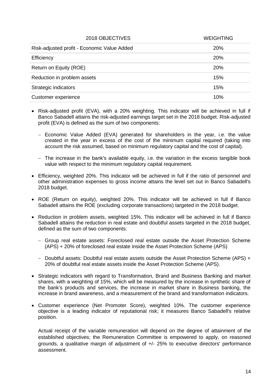| 2018 OBJECTIVES                             | <b>WEIGHTING</b> |
|---------------------------------------------|------------------|
| Risk-adjusted profit - Economic Value Added | <b>20%</b>       |
| Efficiency                                  | <b>20%</b>       |
| Return on Equity (ROE)                      | <b>20%</b>       |
| Reduction in problem assets                 | 15%              |
| Strategic indicators                        | 15%              |
| Customer experience                         | 10%              |

- Risk-adjusted profit (EVA), with a 20% weighting. This indicator will be achieved in full if Banco Sabadell attains the risk-adjusted earnings target set in the 2018 budget. Risk-adjusted profit (EVA) is defined as the sum of two components:
	- Economic Value Added (EVA) generated for shareholders in the year, i.e. the value created in the year in excess of the cost of the minimum capital required (taking into account the risk assumed, based on minimum regulatory capital and the cost of capital).
	- The increase in the bank's available equity, i.e. the variation in the excess tangible book value with respect to the minimum regulatory capital requirement.
- Efficiency, weighted 20%. This indicator will be achieved in full if the ratio of personnel and other administration expenses to gross income attains the level set out in Banco Sabadell's 2018 budget.
- ROE (Return on equity), weighted 20%. This indicator will be achieved in full if Banco Sabadell attains the ROE (excluding corporate transactions) targeted in the 2018 budget.
- Reduction in problem assets, weighted 15%. This indicator will be achieved in full if Banco Sabadell attains the reduction in real estate and doubtful assets targeted in the 2018 budget, defined as the sum of two components:
	- Group real estate assets: Foreclosed real estate outside the Asset Protection Scheme (APS) + 20% of foreclosed real estate inside the Asset Protection Scheme (APS)
	- Doubtful assets: Doubtful real estate assets outside the Asset Protection Scheme (APS) + 20% of doubtful real estate assets inside the Asset Protection Scheme (APS).
- Strategic indicators with regard to Transformation, Brand and Business Banking and market shares, with a weighting of 15%, which will be measured by the increase in synthetic share of the bank's products and services, the increase in market share in Business banking, the increase in brand awareness, and a measurement of the brand and transformation indicators.
- Customer experience (Net Promoter Score), weighted 10%. The customer experience objective is a leading indicator of reputational risk; it measures Banco Sabadell's relative position.

Actual receipt of the variable remuneration will depend on the degree of attainment of the established objectives; the Remuneration Committee is empowered to apply, on reasoned grounds, a qualitative margin of adjustment of +/- 25% to executive directors' performance assessment.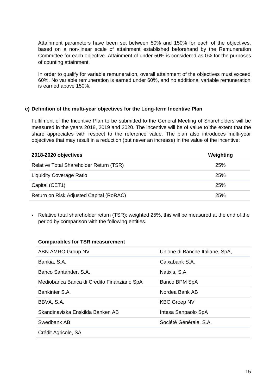Attainment parameters have been set between 50% and 150% for each of the objectives, based on a non-linear scale of attainment established beforehand by the Remuneration Committee for each objective. Attainment of under 50% is considered as 0% for the purposes of counting attainment.

In order to qualify for variable remuneration, overall attainment of the objectives must exceed 60%. No variable remuneration is earned under 60%, and no additional variable remuneration is earned above 150%.

## **c) Definition of the multi-year objectives for the Long-term Incentive Plan**

Fulfilment of the Incentive Plan to be submitted to the General Meeting of Shareholders will be measured in the years 2018, 2019 and 2020. The incentive will be of value to the extent that the share appreciates with respect to the reference value. The plan also introduces multi-year objectives that may result in a reduction (but never an increase) in the value of the incentive:

| 2018-2020 objectives                    | Weighting  |
|-----------------------------------------|------------|
| Relative Total Shareholder Return (TSR) | <b>25%</b> |
| <b>Liquidity Coverage Ratio</b>         | 25%        |
| Capital (CET1)                          | 25%        |
| Return on Risk Adjusted Capital (RoRAC) | 25%        |

• Relative total shareholder return (TSR): weighted 25%, this will be measured at the end of the period by comparison with the following entities.

## **Comparables for TSR measurement**

| ABN AMRO Group NV                           | Unione di Banche Italiane, SpA, |
|---------------------------------------------|---------------------------------|
| Bankia, S.A.                                | Caixabank S.A.                  |
| Banco Santander, S.A.                       | Natixis, S.A.                   |
| Mediobanca Banca di Credito Finanziario SpA | Banco BPM SpA                   |
| Bankinter S.A.                              | Nordea Bank AB                  |
| BBVA, S.A.                                  | <b>KBC Groep NV</b>             |
| Skandinaviska Enskilda Banken AB            | Intesa Sanpaolo SpA             |
| Swedbank AB                                 | Société Générale, S.A.          |
| Crédit Agricole, SA                         |                                 |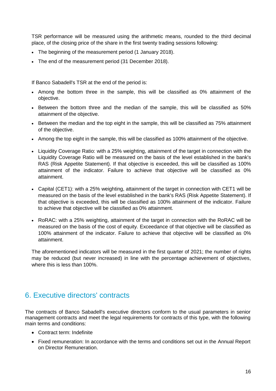TSR performance will be measured using the arithmetic means, rounded to the third decimal place, of the closing price of the share in the first twenty trading sessions following:

- The beginning of the measurement period (1 January 2018).
- The end of the measurement period (31 December 2018).

If Banco Sabadell's TSR at the end of the period is:

- Among the bottom three in the sample, this will be classified as 0% attainment of the objective.
- Between the bottom three and the median of the sample, this will be classified as 50% attainment of the objective.
- Between the median and the top eight in the sample, this will be classified as 75% attainment of the objective.
- Among the top eight in the sample, this will be classified as 100% attainment of the objective.
- Liquidity Coverage Ratio: with a 25% weighting, attainment of the target in connection with the Liquidity Coverage Ratio will be measured on the basis of the level established in the bank's RAS (Risk Appetite Statement). If that objective is exceeded, this will be classified as 100% attainment of the indicator. Failure to achieve that objective will be classified as 0% attainment.
- Capital (CET1): with a 25% weighting, attainment of the target in connection with CET1 will be measured on the basis of the level established in the bank's RAS (Risk Appetite Statement). If that objective is exceeded, this will be classified as 100% attainment of the indicator. Failure to achieve that objective will be classified as 0% attainment.
- RoRAC: with a 25% weighting, attainment of the target in connection with the RoRAC will be measured on the basis of the cost of equity. Exceedance of that objective will be classified as 100% attainment of the indicator. Failure to achieve that objective will be classified as 0% attainment.

The aforementioned indicators will be measured in the first quarter of 2021; the number of rights may be reduced (but never increased) in line with the percentage achievement of objectives, where this is less than 100%.

# 6. Executive directors' contracts

The contracts of Banco Sabadell's executive directors conform to the usual parameters in senior management contracts and meet the legal requirements for contracts of this type, with the following main terms and conditions:

- Contract term: Indefinite
- Fixed remuneration: In accordance with the terms and conditions set out in the Annual Report on Director Remuneration.